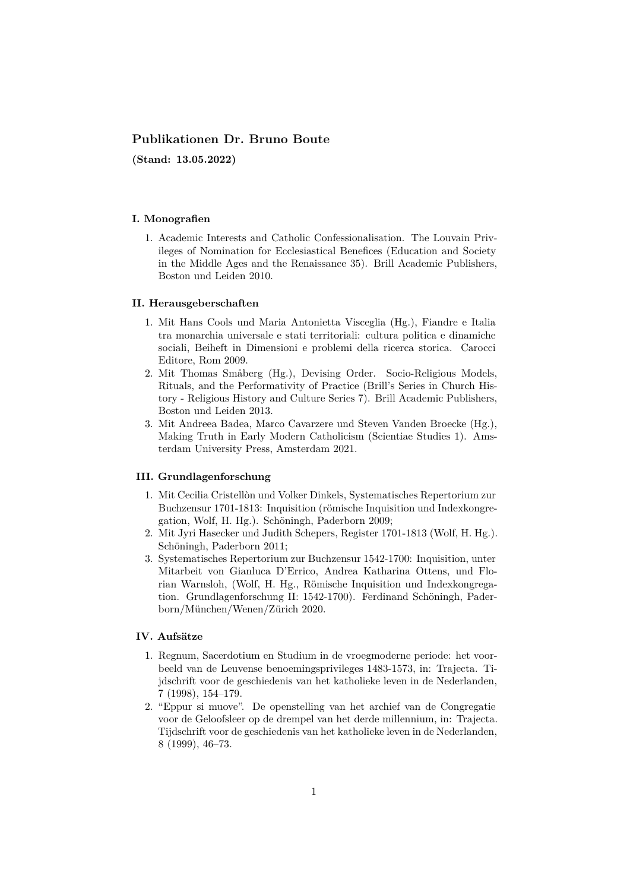# **Publikationen Dr. Bruno Boute**

**(Stand: 13.05.2022)**

### **I. Monografien**

1. Academic Interests and Catholic Confessionalisation. The Louvain Privileges of Nomination for Ecclesiastical Benefices (Education and Society in the Middle Ages and the Renaissance 35). Brill Academic Publishers, Boston und Leiden 2010.

#### **II. Herausgeberschaften**

- 1. Mit Hans Cools und Maria Antonietta Visceglia (Hg.), Fiandre e Italia tra monarchia universale e stati territoriali: cultura politica e dinamiche sociali, Beiheft in Dimensioni e problemi della ricerca storica. Carocci Editore, Rom 2009.
- 2. Mit Thomas Småberg (Hg.), Devising Order. Socio-Religious Models, Rituals, and the Performativity of Practice (Brill's Series in Church History - Religious History and Culture Series 7). Brill Academic Publishers, Boston und Leiden 2013.
- 3. Mit Andreea Badea, Marco Cavarzere und Steven Vanden Broecke (Hg.), Making Truth in Early Modern Catholicism (Scientiae Studies 1). Amsterdam University Press, Amsterdam 2021.

## **III. Grundlagenforschung**

- 1. Mit Cecilia Cristellòn und Volker Dinkels, Systematisches Repertorium zur Buchzensur 1701-1813: Inquisition (römische Inquisition und Indexkongregation, Wolf, H. Hg.). Schöningh, Paderborn 2009;
- 2. Mit Jyri Hasecker und Judith Schepers, Register 1701-1813 (Wolf, H. Hg.). Schöningh, Paderborn 2011;
- 3. Systematisches Repertorium zur Buchzensur 1542-1700: Inquisition, unter Mitarbeit von Gianluca D'Errico, Andrea Katharina Ottens, und Florian Warnsloh, (Wolf, H. Hg., Römische Inquisition und Indexkongregation. Grundlagenforschung II: 1542-1700). Ferdinand Schöningh, Paderborn/München/Wenen/Zürich 2020.

# **IV. Aufsätze**

- 1. Regnum, Sacerdotium en Studium in de vroegmoderne periode: het voorbeeld van de Leuvense benoemingsprivileges 1483-1573, in: Trajecta. Tijdschrift voor de geschiedenis van het katholieke leven in de Nederlanden, 7 (1998), 154–179.
- 2. "Eppur si muove". De openstelling van het archief van de Congregatie voor de Geloofsleer op de drempel van het derde millennium, in: Trajecta. Tijdschrift voor de geschiedenis van het katholieke leven in de Nederlanden, 8 (1999), 46–73.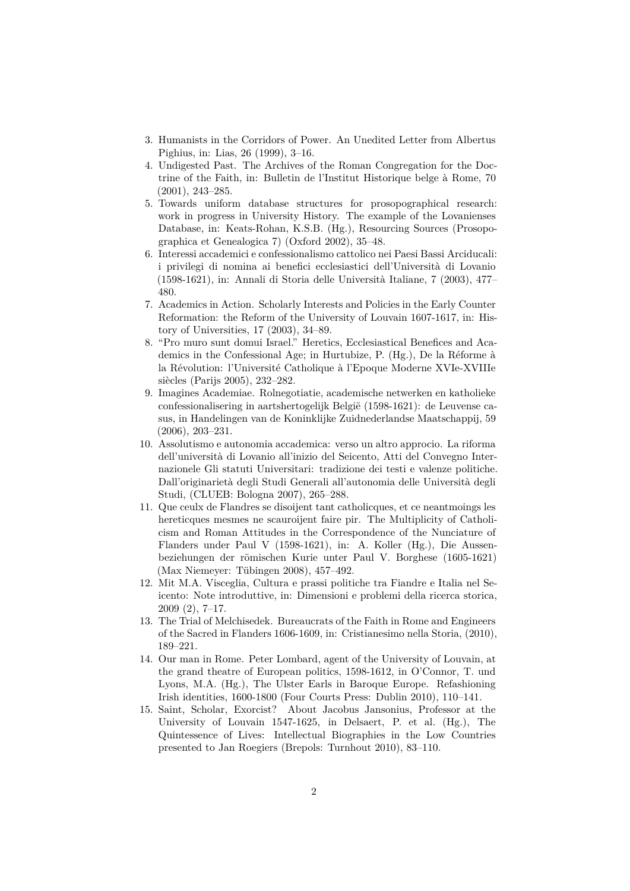- 3. Humanists in the Corridors of Power. An Unedited Letter from Albertus Pighius, in: Lias, 26 (1999), 3–16.
- 4. Undigested Past. The Archives of the Roman Congregation for the Doctrine of the Faith, in: Bulletin de l'Institut Historique belge à Rome, 70 (2001), 243–285.
- 5. Towards uniform database structures for prosopographical research: work in progress in University History. The example of the Lovanienses Database, in: Keats-Rohan, K.S.B. (Hg.), Resourcing Sources (Prosopographica et Genealogica 7) (Oxford 2002), 35–48.
- 6. Interessi accademici e confessionalismo cattolico nei Paesi Bassi Arciducali: i privilegi di nomina ai benefici ecclesiastici dell'Università di Lovanio (1598-1621), in: Annali di Storia delle Università Italiane, 7 (2003), 477– 480.
- 7. Academics in Action. Scholarly Interests and Policies in the Early Counter Reformation: the Reform of the University of Louvain 1607-1617, in: History of Universities, 17 (2003), 34–89.
- 8. "Pro muro sunt domui Israel." Heretics, Ecclesiastical Benefices and Academics in the Confessional Age; in Hurtubize, P. (Hg.), De la Réforme à la Révolution: l'Université Catholique à l'Epoque Moderne XVIe-XVIIIe siècles (Parijs 2005), 232–282.
- 9. Imagines Academiae. Rolnegotiatie, academische netwerken en katholieke confessionalisering in aartshertogelijk België (1598-1621): de Leuvense casus, in Handelingen van de Koninklijke Zuidnederlandse Maatschappij, 59 (2006), 203–231.
- 10. Assolutismo e autonomia accademica: verso un altro approcio. La riforma dell'università di Lovanio all'inizio del Seicento, Atti del Convegno Internazionele Gli statuti Universitari: tradizione dei testi e valenze politiche. Dall'originarietà degli Studi Generali all'autonomia delle Università degli Studi, (CLUEB: Bologna 2007), 265–288.
- 11. Que ceulx de Flandres se disoijent tant catholicques, et ce neantmoings les hereticques mesmes ne scauroijent faire pir. The Multiplicity of Catholicism and Roman Attitudes in the Correspondence of the Nunciature of Flanders under Paul V (1598-1621), in: A. Koller (Hg.), Die Aussenbeziehungen der römischen Kurie unter Paul V. Borghese (1605-1621) (Max Niemeyer: Tübingen 2008), 457–492.
- 12. Mit M.A. Visceglia, Cultura e prassi politiche tra Fiandre e Italia nel Seicento: Note introduttive, in: Dimensioni e problemi della ricerca storica, 2009 (2), 7–17.
- 13. The Trial of Melchisedek. Bureaucrats of the Faith in Rome and Engineers of the Sacred in Flanders 1606-1609, in: Cristianesimo nella Storia, (2010), 189–221.
- 14. Our man in Rome. Peter Lombard, agent of the University of Louvain, at the grand theatre of European politics, 1598-1612, in O'Connor, T. und Lyons, M.A. (Hg.), The Ulster Earls in Baroque Europe. Refashioning Irish identities, 1600-1800 (Four Courts Press: Dublin 2010), 110–141.
- 15. Saint, Scholar, Exorcist? About Jacobus Jansonius, Professor at the University of Louvain 1547-1625, in Delsaert, P. et al. (Hg.), The Quintessence of Lives: Intellectual Biographies in the Low Countries presented to Jan Roegiers (Brepols: Turnhout 2010), 83–110.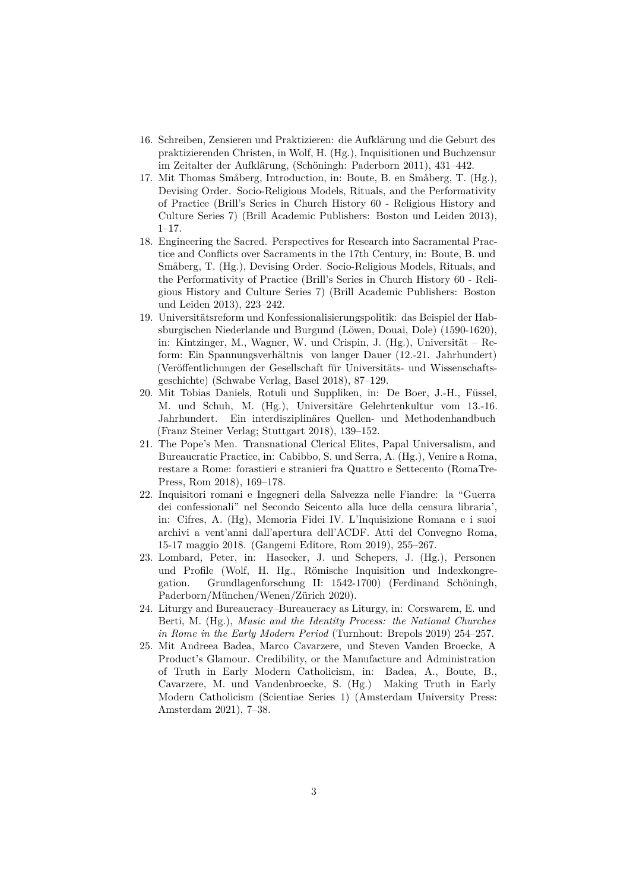- 16. Schreiben, Zensieren und Praktizieren: die Aufklärung und die Geburt des praktizierenden Christen, in Wolf, H. (Hg.), Inquisitionen und Buchzensur im Zeitalter der Aufklärung, (Schöningh: Paderborn 2011), 431–442.
- 17. Mit Thomas Småberg, Introduction, in: Boute, B. en Småberg, T. (Hg.), Devising Order. Socio-Religious Models, Rituals, and the Performativity of Practice (Brill's Series in Church History 60 - Religious History and Culture Series 7) (Brill Academic Publishers: Boston und Leiden 2013), 1–17.
- 18. Engineering the Sacred. Perspectives for Research into Sacramental Practice and Conflicts over Sacraments in the 17th Century, in: Boute, B. und Småberg, T. (Hg.), Devising Order. Socio-Religious Models, Rituals, and the Performativity of Practice (Brill's Series in Church History 60 - Religious History and Culture Series 7) (Brill Academic Publishers: Boston und Leiden 2013), 223–242.
- 19. Universitätsreform und Konfessionalisierungspolitik: das Beispiel der Habsburgischen Niederlande und Burgund (Löwen, Douai, Dole) (1590-1620), in: Kintzinger, M., Wagner, W. und Crispin, J. (Hg.), Universität – Reform: Ein Spannungsverhältnis von langer Dauer (12.-21. Jahrhundert) (Veröffentlichungen der Gesellschaft für Universitäts- und Wissenschaftsgeschichte) (Schwabe Verlag, Basel 2018), 87–129.
- 20. Mit Tobias Daniels, Rotuli und Suppliken, in: De Boer, J.-H., Füssel, M. und Schuh, M. (Hg.), Universitäre Gelehrtenkultur vom 13.-16. Jahrhundert. Ein interdisziplinäres Quellen- und Methodenhandbuch (Franz Steiner Verlag; Stuttgart 2018), 139–152.
- 21. The Pope's Men. Transnational Clerical Elites, Papal Universalism, and Bureaucratic Practice, in: Cabibbo, S. und Serra, A. (Hg.), Venire a Roma, restare a Rome: forastieri e stranieri fra Quattro e Settecento (RomaTre-Press, Rom 2018), 169–178.
- 22. Inquisitori romani e Ingegneri della Salvezza nelle Fiandre: la "Guerra dei confessionali" nel Secondo Seicento alla luce della censura libraria', in: Cifres, A. (Hg), Memoria Fidei IV. L'Inquisizione Romana e i suoi archivi a vent'anni dall'apertura dell'ACDF. Atti del Convegno Roma, 15-17 maggio 2018. (Gangemi Editore, Rom 2019), 255–267.
- 23. Lombard, Peter, in: Hasecker, J. und Schepers, J. (Hg.), Personen und Profile (Wolf, H. Hg., Römische Inquisition und Indexkongregation. Grundlagenforschung II: 1542-1700) (Ferdinand Schöningh, Paderborn/München/Wenen/Zürich 2020).
- 24. Liturgy and Bureaucracy–Bureaucracy as Liturgy, in: Corswarem, E. und Berti, M. (Hg.), *Music and the Identity Process: the National Churches in Rome in the Early Modern Period* (Turnhout: Brepols 2019) 254–257.
- 25. Mit Andreea Badea, Marco Cavarzere, und Steven Vanden Broecke, A Product's Glamour. Credibility, or the Manufacture and Administration of Truth in Early Modern Catholicism, in: Badea, A., Boute, B., Cavarzere, M. und Vandenbroecke, S. (Hg.) Making Truth in Early Modern Catholicism (Scientiae Series 1) (Amsterdam University Press: Amsterdam 2021), 7–38.